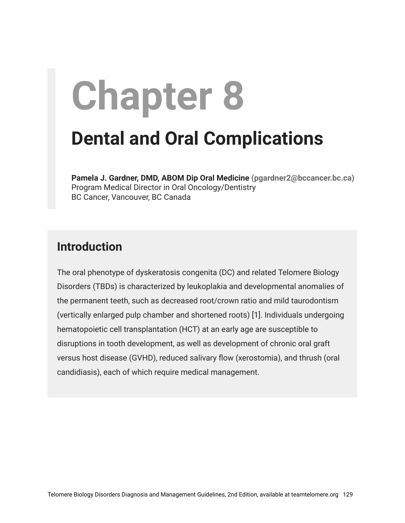# **Chapter 8**

# **Dental and Oral Complications**

**Pamela J. Gardner, DMD, ABOM Dip Oral Medicine (pgardner2@bccancer.bc.ca)** Program Medical Director in Oral Oncology/Dentistry BC Cancer, Vancouver, BC Canada

#### **Introduction**

The oral phenotype of dyskeratosis congenita (DC) and related Telomere Biology Disorders (TBDs) is characterized by leukoplakia and developmental anomalies of the permanent teeth, such as decreased root/crown ratio and mild taurodontism (vertically enlarged pulp chamber and shortened roots) [1]. Individuals undergoing hematopoietic cell transplantation (HCT) at an early age are susceptible to disruptions in tooth development, as well as development of chronic oral graft versus host disease (GVHD), reduced salivary flow (xerostomia), and thrush (oral candidiasis), each of which require medical management.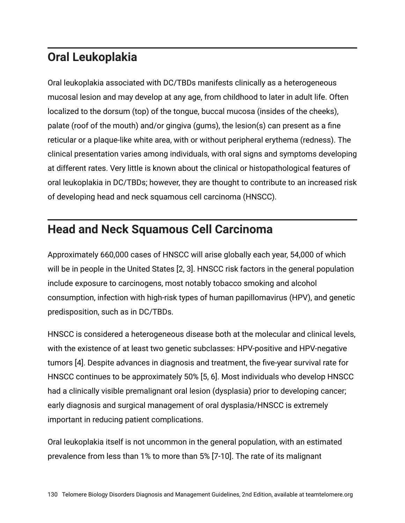# **Oral Leukoplakia**

Oral leukoplakia associated with DC/TBDs manifests clinically as a heterogeneous mucosal lesion and may develop at any age, from childhood to later in adult life. Often localized to the dorsum (top) of the tongue, buccal mucosa (insides of the cheeks), palate (roof of the mouth) and/or gingiva (gums), the lesion(s) can present as a fine reticular or a plaque-like white area, with or without peripheral erythema (redness). The clinical presentation varies among individuals, with oral signs and symptoms developing at different rates. Very little is known about the clinical or histopathological features of oral leukoplakia in DC/TBDs; however, they are thought to contribute to an increased risk of developing head and neck squamous cell carcinoma (HNSCC).

# **Head and Neck Squamous Cell Carcinoma**

Approximately 660,000 cases of HNSCC will arise globally each year, 54,000 of which will be in people in the United States [2, 3]. HNSCC risk factors in the general population include exposure to carcinogens, most notably tobacco smoking and alcohol consumption, infection with high-risk types of human papillomavirus (HPV), and genetic predisposition, such as in DC/TBDs.

HNSCC is considered a heterogeneous disease both at the molecular and clinical levels, with the existence of at least two genetic subclasses: HPV-positive and HPV-negative tumors [4]. Despite advances in diagnosis and treatment, the five-year survival rate for HNSCC continues to be approximately 50% [5, 6]. Most individuals who develop HNSCC had a clinically visible premalignant oral lesion (dysplasia) prior to developing cancer; early diagnosis and surgical management of oral dysplasia/HNSCC is extremely important in reducing patient complications.

Oral leukoplakia itself is not uncommon in the general population, with an estimated prevalence from less than 1% to more than 5% [7-10]. The rate of its malignant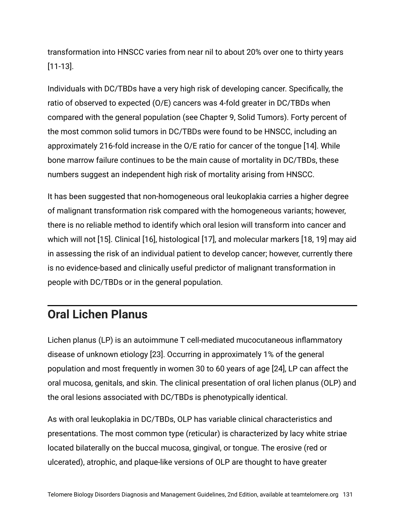transformation into HNSCC varies from near nil to about 20% over one to thirty years [11-13].

Individuals with DC/TBDs have a very high risk of developing cancer. Specifically, the ratio of observed to expected (O/E) cancers was 4-fold greater in DC/TBDs when compared with the general population (see Chapter 9, Solid Tumors). Forty percent of the most common solid tumors in DC/TBDs were found to be HNSCC, including an approximately 216-fold increase in the O/E ratio for cancer of the tongue [14]. While bone marrow failure continues to be the main cause of mortality in DC/TBDs, these numbers suggest an independent high risk of mortality arising from HNSCC.

It has been suggested that non-homogeneous oral leukoplakia carries a higher degree of malignant transformation risk compared with the homogeneous variants; however, there is no reliable method to identify which oral lesion will transform into cancer and which will not [15]. Clinical [16], histological [17], and molecular markers [18, 19] may aid in assessing the risk of an individual patient to develop cancer; however, currently there is no evidence-based and clinically useful predictor of malignant transformation in people with DC/TBDs or in the general population.

# **Oral Lichen Planus**

Lichen planus (LP) is an autoimmune T cell-mediated mucocutaneous inflammatory disease of unknown etiology [23]. Occurring in approximately 1% of the general population and most frequently in women 30 to 60 years of age [24], LP can affect the oral mucosa, genitals, and skin. The clinical presentation of oral lichen planus (OLP) and the oral lesions associated with DC/TBDs is phenotypically identical.

As with oral leukoplakia in DC/TBDs, OLP has variable clinical characteristics and presentations. The most common type (reticular) is characterized by lacy white striae located bilaterally on the buccal mucosa, gingival, or tongue. The erosive (red or ulcerated), atrophic, and plaque-like versions of OLP are thought to have greater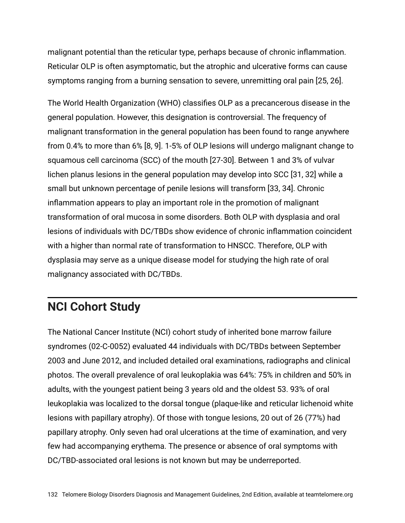malignant potential than the reticular type, perhaps because of chronic inflammation. Reticular OLP is often asymptomatic, but the atrophic and ulcerative forms can cause symptoms ranging from a burning sensation to severe, unremitting oral pain [25, 26].

The World Health Organization (WHO) classifies OLP as a precancerous disease in the general population. However, this designation is controversial. The frequency of malignant transformation in the general population has been found to range anywhere from 0.4% to more than 6% [8, 9]. 1-5% of OLP lesions will undergo malignant change to squamous cell carcinoma (SCC) of the mouth [27-30]. Between 1 and 3% of vulvar lichen planus lesions in the general population may develop into SCC [31, 32] while a small but unknown percentage of penile lesions will transform [33, 34]. Chronic inflammation appears to play an important role in the promotion of malignant transformation of oral mucosa in some disorders. Both OLP with dysplasia and oral lesions of individuals with DC/TBDs show evidence of chronic inflammation coincident with a higher than normal rate of transformation to HNSCC. Therefore, OLP with dysplasia may serve as a unique disease model for studying the high rate of oral malignancy associated with DC/TBDs.

# **NCI Cohort Study**

The National Cancer Institute (NCI) cohort study of inherited bone marrow failure syndromes (02-C-0052) evaluated 44 individuals with DC/TBDs between September 2003 and June 2012, and included detailed oral examinations, radiographs and clinical photos. The overall prevalence of oral leukoplakia was 64%: 75% in children and 50% in adults, with the youngest patient being 3 years old and the oldest 53. 93% of oral leukoplakia was localized to the dorsal tongue (plaque-like and reticular lichenoid white lesions with papillary atrophy). Of those with tongue lesions, 20 out of 26 (77%) had papillary atrophy. Only seven had oral ulcerations at the time of examination, and very few had accompanying erythema. The presence or absence of oral symptoms with DC/TBD-associated oral lesions is not known but may be underreported.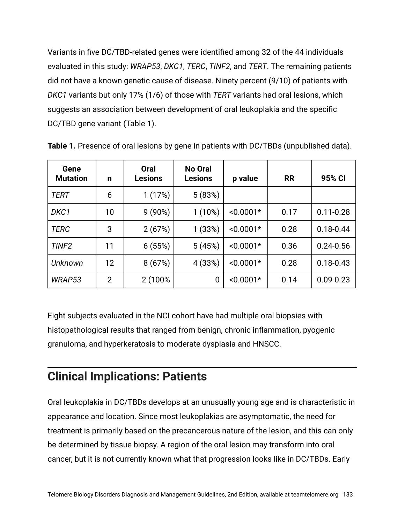Variants in five DC/TBD-related genes were identified among 32 of the 44 individuals evaluated in this study: *WRAP53*, *DKC1*, *TERC*, *TINF2*, and *TERT*. The remaining patients did not have a known genetic cause of disease. Ninety percent (9/10) of patients with *DKC1* variants but only 17% (1/6) of those with *TERT* variants had oral lesions, which suggests an association between development of oral leukoplakia and the specific DC/TBD gene variant (Table 1).

| Gene<br><b>Mutation</b> | n              | <b>Oral</b><br><b>Lesions</b> | <b>No Oral</b><br><b>Lesions</b> | p value     | <b>RR</b> | 95% CI        |
|-------------------------|----------------|-------------------------------|----------------------------------|-------------|-----------|---------------|
| <b>TERT</b>             | 6              | 1(17%)                        | 5(83%)                           |             |           |               |
| DKC1                    | 10             | $9(90\%)$                     | $1(10\%)$                        | $< 0.0001*$ | 0.17      | $0.11 - 0.28$ |
| <b>TERC</b>             | 3              | 2(67%)                        | 1(33%)                           | $< 0.0001*$ | 0.28      | $0.18 - 0.44$ |
| TINF <sub>2</sub>       | 11             | 6(55%)                        | 5(45%)                           | $< 0.0001*$ | 0.36      | $0.24 - 0.56$ |
| Unknown                 | 12             | 8(67%)                        | 4 (33%)                          | $< 0.0001*$ | 0.28      | $0.18 - 0.43$ |
| WRAP53                  | $\overline{2}$ | 2 (100%)                      | 0                                | $< 0.0001*$ | 0.14      | $0.09 - 0.23$ |

**Table 1.** Presence of oral lesions by gene in patients with DC/TBDs (unpublished data).

Eight subjects evaluated in the NCI cohort have had multiple oral biopsies with histopathological results that ranged from benign, chronic inflammation, pyogenic granuloma, and hyperkeratosis to moderate dysplasia and HNSCC.

## **Clinical Implications: Patients**

Oral leukoplakia in DC/TBDs develops at an unusually young age and is characteristic in appearance and location. Since most leukoplakias are asymptomatic, the need for treatment is primarily based on the precancerous nature of the lesion, and this can only be determined by tissue biopsy. A region of the oral lesion may transform into oral cancer, but it is not currently known what that progression looks like in DC/TBDs. Early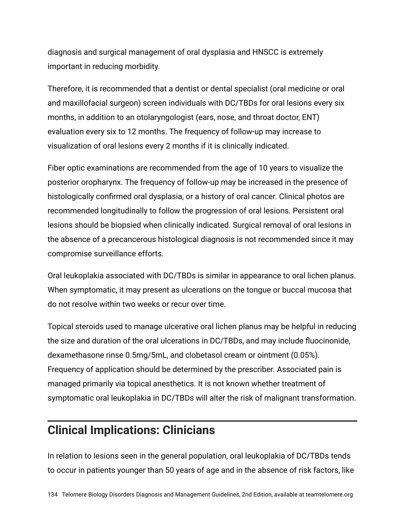diagnosis and surgical management of oral dysplasia and HNSCC is extremely important in reducing morbidity.

Therefore, it is recommended that a dentist or dental specialist (oral medicine or oral and maxillofacial surgeon) screen individuals with DC/TBDs for oral lesions every six months, in addition to an otolaryngologist (ears, nose, and throat doctor, ENT) evaluation every six to 12 months. The frequency of follow-up may increase to visualization of oral lesions every 2 months if it is clinically indicated.

Fiber optic examinations are recommended from the age of 10 years to visualize the posterior oropharynx. The frequency of follow-up may be increased in the presence of histologically confirmed oral dysplasia, or a history of oral cancer. Clinical photos are recommended longitudinally to follow the progression of oral lesions. Persistent oral lesions should be biopsied when clinically indicated. Surgical removal of oral lesions in the absence of a precancerous histological diagnosis is not recommended since it may compromise surveillance efforts.

Oral leukoplakia associated with DC/TBDs is similar in appearance to oral lichen planus. When symptomatic, it may present as ulcerations on the tongue or buccal mucosa that do not resolve within two weeks or recur over time.

Topical steroids used to manage ulcerative oral lichen planus may be helpful in reducing the size and duration of the oral ulcerations in DC/TBDs, and may include fluocinonide, dexamethasone rinse 0.5mg/5mL, and clobetasol cream or ointment (0.05%). Frequency of application should be determined by the prescriber. Associated pain is managed primarily via topical anesthetics. It is not known whether treatment of symptomatic oral leukoplakia in DC/TBDs will alter the risk of malignant transformation.

# **Clinical Implications: Clinicians**

In relation to lesions seen in the general population, oral leukoplakia of DC/TBDs tends to occur in patients younger than 50 years of age and in the absence of risk factors, like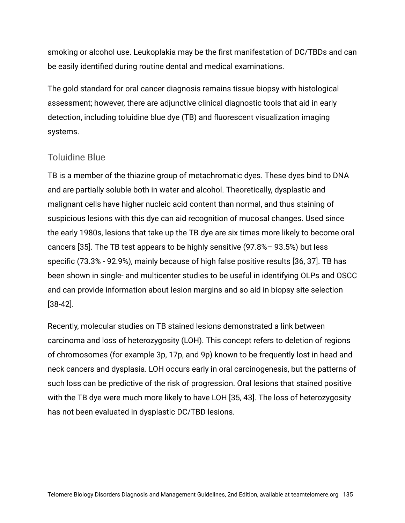smoking or alcohol use. Leukoplakia may be the first manifestation of DC/TBDs and can be easily identified during routine dental and medical examinations.

The gold standard for oral cancer diagnosis remains tissue biopsy with histological assessment; however, there are adjunctive clinical diagnostic tools that aid in early detection, including toluidine blue dye (TB) and fluorescent visualization imaging systems.

#### Toluidine Blue

TB is a member of the thiazine group of metachromatic dyes. These dyes bind to DNA and are partially soluble both in water and alcohol. Theoretically, dysplastic and malignant cells have higher nucleic acid content than normal, and thus staining of suspicious lesions with this dye can aid recognition of mucosal changes. Used since the early 1980s, lesions that take up the TB dye are six times more likely to become oral cancers [35]. The TB test appears to be highly sensitive (97.8%– 93.5%) but less specific (73.3% - 92.9%), mainly because of high false positive results [36, 37]. TB has been shown in single- and multicenter studies to be useful in identifying OLPs and OSCC and can provide information about lesion margins and so aid in biopsy site selection [38-42].

Recently, molecular studies on TB stained lesions demonstrated a link between carcinoma and loss of heterozygosity (LOH). This concept refers to deletion of regions of chromosomes (for example 3p, 17p, and 9p) known to be frequently lost in head and neck cancers and dysplasia. LOH occurs early in oral carcinogenesis, but the patterns of such loss can be predictive of the risk of progression. Oral lesions that stained positive with the TB dye were much more likely to have LOH [35, 43]. The loss of heterozygosity has not been evaluated in dysplastic DC/TBD lesions.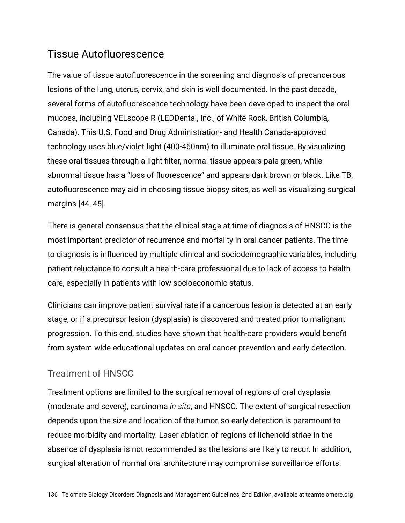#### Tissue Autofluorescence

The value of tissue autofluorescence in the screening and diagnosis of precancerous lesions of the lung, uterus, cervix, and skin is well documented. In the past decade, several forms of autofluorescence technology have been developed to inspect the oral mucosa, including VELscope R (LEDDental, Inc., of White Rock, British Columbia, Canada). This U.S. Food and Drug Administration- and Health Canada-approved technology uses blue/violet light (400-460nm) to illuminate oral tissue. By visualizing these oral tissues through a light filter, normal tissue appears pale green, while abnormal tissue has a "loss of fluorescence" and appears dark brown or black. Like TB, autofluorescence may aid in choosing tissue biopsy sites, as well as visualizing surgical margins [44, 45].

There is general consensus that the clinical stage at time of diagnosis of HNSCC is the most important predictor of recurrence and mortality in oral cancer patients. The time to diagnosis is influenced by multiple clinical and sociodemographic variables, including patient reluctance to consult a health-care professional due to lack of access to health care, especially in patients with low socioeconomic status.

Clinicians can improve patient survival rate if a cancerous lesion is detected at an early stage, or if a precursor lesion (dysplasia) is discovered and treated prior to malignant progression. To this end, studies have shown that health-care providers would benefit from system-wide educational updates on oral cancer prevention and early detection.

#### Treatment of HNSCC

Treatment options are limited to the surgical removal of regions of oral dysplasia (moderate and severe), carcinoma *in situ*, and HNSCC. The extent of surgical resection depends upon the size and location of the tumor, so early detection is paramount to reduce morbidity and mortality. Laser ablation of regions of lichenoid striae in the absence of dysplasia is not recommended as the lesions are likely to recur. In addition, surgical alteration of normal oral architecture may compromise surveillance efforts.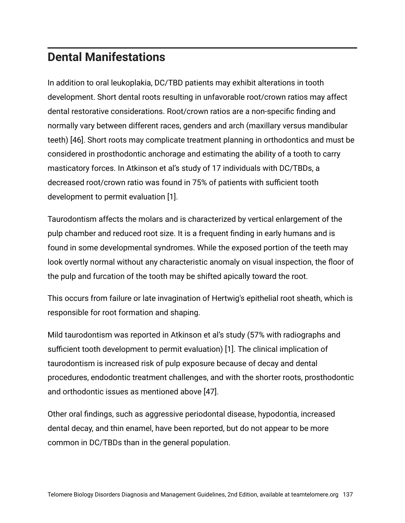# **Dental Manifestations**

In addition to oral leukoplakia, DC/TBD patients may exhibit alterations in tooth development. Short dental roots resulting in unfavorable root/crown ratios may affect dental restorative considerations. Root/crown ratios are a non-specific finding and normally vary between different races, genders and arch (maxillary versus mandibular teeth) [46]. Short roots may complicate treatment planning in orthodontics and must be considered in prosthodontic anchorage and estimating the ability of a tooth to carry masticatory forces. In Atkinson et al's study of 17 individuals with DC/TBDs, a decreased root/crown ratio was found in 75% of patients with sufficient tooth development to permit evaluation [1].

Taurodontism affects the molars and is characterized by vertical enlargement of the pulp chamber and reduced root size. It is a frequent finding in early humans and is found in some developmental syndromes. While the exposed portion of the teeth may look overtly normal without any characteristic anomaly on visual inspection, the floor of the pulp and furcation of the tooth may be shifted apically toward the root.

This occurs from failure or late invagination of Hertwig's epithelial root sheath, which is responsible for root formation and shaping.

Mild taurodontism was reported in Atkinson et al's study (57% with radiographs and sufficient tooth development to permit evaluation) [1]. The clinical implication of taurodontism is increased risk of pulp exposure because of decay and dental procedures, endodontic treatment challenges, and with the shorter roots, prosthodontic and orthodontic issues as mentioned above [47].

Other oral findings, such as aggressive periodontal disease, hypodontia, increased dental decay, and thin enamel, have been reported, but do not appear to be more common in DC/TBDs than in the general population.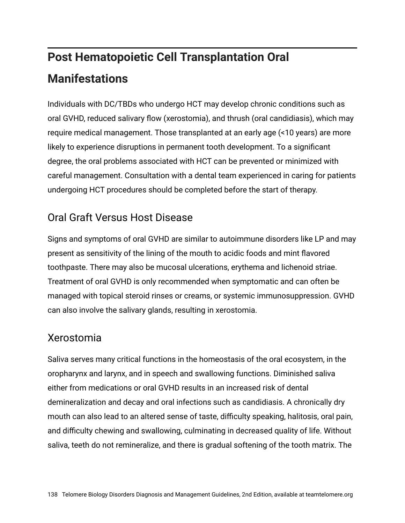# **Post Hematopoietic Cell Transplantation Oral Manifestations**

Individuals with DC/TBDs who undergo HCT may develop chronic conditions such as oral GVHD, reduced salivary flow (xerostomia), and thrush (oral candidiasis), which may require medical management. Those transplanted at an early age (<10 years) are more likely to experience disruptions in permanent tooth development. To a significant degree, the oral problems associated with HCT can be prevented or minimized with careful management. Consultation with a dental team experienced in caring for patients undergoing HCT procedures should be completed before the start of therapy.

## Oral Graft Versus Host Disease

Signs and symptoms of oral GVHD are similar to autoimmune disorders like LP and may present as sensitivity of the lining of the mouth to acidic foods and mint flavored toothpaste. There may also be mucosal ulcerations, erythema and lichenoid striae. Treatment of oral GVHD is only recommended when symptomatic and can often be managed with topical steroid rinses or creams, or systemic immunosuppression. GVHD can also involve the salivary glands, resulting in xerostomia.

#### Xerostomia

Saliva serves many critical functions in the homeostasis of the oral ecosystem, in the oropharynx and larynx, and in speech and swallowing functions. Diminished saliva either from medications or oral GVHD results in an increased risk of dental demineralization and decay and oral infections such as candidiasis. A chronically dry mouth can also lead to an altered sense of taste, difficulty speaking, halitosis, oral pain, and difficulty chewing and swallowing, culminating in decreased quality of life. Without saliva, teeth do not remineralize, and there is gradual softening of the tooth matrix. The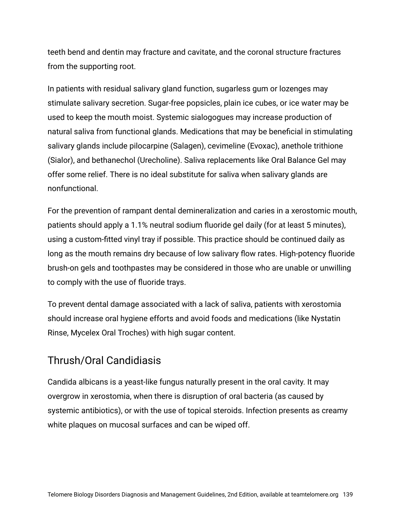teeth bend and dentin may fracture and cavitate, and the coronal structure fractures from the supporting root.

In patients with residual salivary gland function, sugarless gum or lozenges may stimulate salivary secretion. Sugar-free popsicles, plain ice cubes, or ice water may be used to keep the mouth moist. Systemic sialogogues may increase production of natural saliva from functional glands. Medications that may be beneficial in stimulating salivary glands include pilocarpine (Salagen), cevimeline (Evoxac), anethole trithione (Sialor), and bethanechol (Urecholine). Saliva replacements like Oral Balance Gel may offer some relief. There is no ideal substitute for saliva when salivary glands are nonfunctional.

For the prevention of rampant dental demineralization and caries in a xerostomic mouth, patients should apply a 1.1% neutral sodium fluoride gel daily (for at least 5 minutes), using a custom-fitted vinyl tray if possible. This practice should be continued daily as long as the mouth remains dry because of low salivary flow rates. High-potency fluoride brush-on gels and toothpastes may be considered in those who are unable or unwilling to comply with the use of fluoride trays.

To prevent dental damage associated with a lack of saliva, patients with xerostomia should increase oral hygiene efforts and avoid foods and medications (like Nystatin Rinse, Mycelex Oral Troches) with high sugar content.

#### Thrush/Oral Candidiasis

Candida albicans is a yeast-like fungus naturally present in the oral cavity. It may overgrow in xerostomia, when there is disruption of oral bacteria (as caused by systemic antibiotics), or with the use of topical steroids. Infection presents as creamy white plaques on mucosal surfaces and can be wiped off.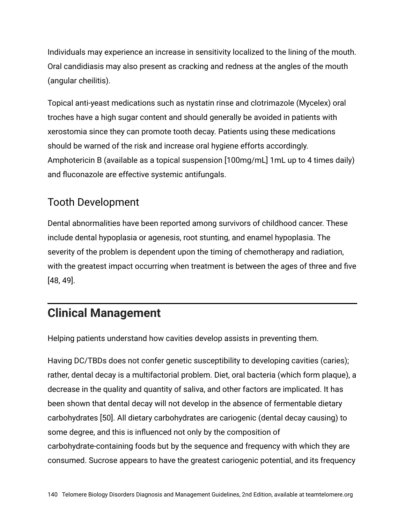Individuals may experience an increase in sensitivity localized to the lining of the mouth. Oral candidiasis may also present as cracking and redness at the angles of the mouth (angular cheilitis).

Topical anti-yeast medications such as nystatin rinse and clotrimazole (Mycelex) oral troches have a high sugar content and should generally be avoided in patients with xerostomia since they can promote tooth decay. Patients using these medications should be warned of the risk and increase oral hygiene efforts accordingly. Amphotericin B (available as a topical suspension [100mg/mL] 1mL up to 4 times daily) and fluconazole are effective systemic antifungals.

#### Tooth Development

Dental abnormalities have been reported among survivors of childhood cancer. These include dental hypoplasia or agenesis, root stunting, and enamel hypoplasia. The severity of the problem is dependent upon the timing of chemotherapy and radiation, with the greatest impact occurring when treatment is between the ages of three and five [48, 49].

# **Clinical Management**

Helping patients understand how cavities develop assists in preventing them.

Having DC/TBDs does not confer genetic susceptibility to developing cavities (caries); rather, dental decay is a multifactorial problem. Diet, oral bacteria (which form plaque), a decrease in the quality and quantity of saliva, and other factors are implicated. It has been shown that dental decay will not develop in the absence of fermentable dietary carbohydrates [50]. All dietary carbohydrates are cariogenic (dental decay causing) to some degree, and this is influenced not only by the composition of carbohydrate-containing foods but by the sequence and frequency with which they are consumed. Sucrose appears to have the greatest cariogenic potential, and its frequency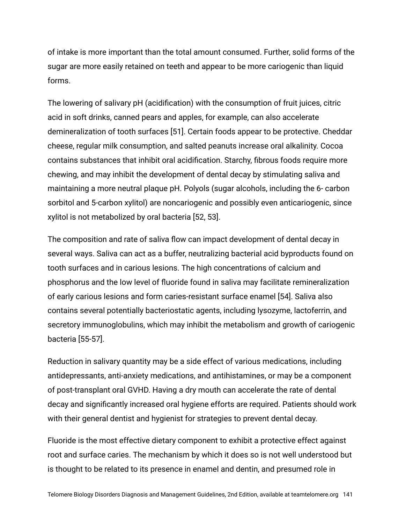of intake is more important than the total amount consumed. Further, solid forms of the sugar are more easily retained on teeth and appear to be more cariogenic than liquid forms.

The lowering of salivary pH (acidification) with the consumption of fruit juices, citric acid in soft drinks, canned pears and apples, for example, can also accelerate demineralization of tooth surfaces [51]. Certain foods appear to be protective. Cheddar cheese, regular milk consumption, and salted peanuts increase oral alkalinity. Cocoa contains substances that inhibit oral acidification. Starchy, fibrous foods require more chewing, and may inhibit the development of dental decay by stimulating saliva and maintaining a more neutral plaque pH. Polyols (sugar alcohols, including the 6- carbon sorbitol and 5-carbon xylitol) are noncariogenic and possibly even anticariogenic, since xylitol is not metabolized by oral bacteria [52, 53].

The composition and rate of saliva flow can impact development of dental decay in several ways. Saliva can act as a buffer, neutralizing bacterial acid byproducts found on tooth surfaces and in carious lesions. The high concentrations of calcium and phosphorus and the low level of fluoride found in saliva may facilitate remineralization of early carious lesions and form caries-resistant surface enamel [54]. Saliva also contains several potentially bacteriostatic agents, including lysozyme, lactoferrin, and secretory immunoglobulins, which may inhibit the metabolism and growth of cariogenic bacteria [55-57].

Reduction in salivary quantity may be a side effect of various medications, including antidepressants, anti-anxiety medications, and antihistamines, or may be a component of post-transplant oral GVHD. Having a dry mouth can accelerate the rate of dental decay and significantly increased oral hygiene efforts are required. Patients should work with their general dentist and hygienist for strategies to prevent dental decay.

Fluoride is the most effective dietary component to exhibit a protective effect against root and surface caries. The mechanism by which it does so is not well understood but is thought to be related to its presence in enamel and dentin, and presumed role in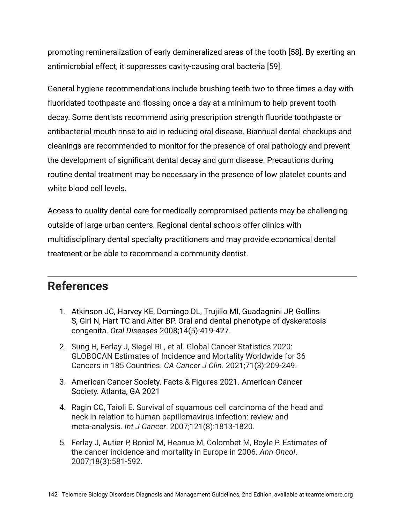promoting remineralization of early demineralized areas of the tooth [58]. By exerting an antimicrobial effect, it suppresses cavity-causing oral bacteria [59].

General hygiene recommendations include brushing teeth two to three times a day with fluoridated toothpaste and flossing once a day at a minimum to help prevent tooth decay. Some dentists recommend using prescription strength fluoride toothpaste or antibacterial mouth rinse to aid in reducing oral disease. Biannual dental checkups and cleanings are recommended to monitor for the presence of oral pathology and prevent the development of significant dental decay and gum disease. Precautions during routine dental treatment may be necessary in the presence of low platelet counts and white blood cell levels.

Access to quality dental care for medically compromised patients may be challenging outside of large urban centers. Regional dental schools offer clinics with multidisciplinary dental specialty practitioners and may provide economical dental treatment or be able to recommend a community dentist.

#### **References**

- 1. Atkinson JC, Harvey KE, Domingo DL, Trujillo MI, Guadagnini JP, Gollins S, Giri N, Hart TC and Alter BP. Oral and dental phenotype of dyskeratosis congenita. *Oral Diseases* 2008;14(5):419-427.
- 2. Sung H, Ferlay J, Siegel RL, et al. Global Cancer Statistics 2020: GLOBOCAN Estimates of Incidence and Mortality Worldwide for 36 Cancers in 185 Countries. *CA Cancer J Clin*. 2021;71(3):209-249.
- 3. American Cancer Society. Facts & Figures 2021. American Cancer Society. Atlanta, GA 2021
- 4. Ragin CC, Taioli E. Survival of squamous cell carcinoma of the head and neck in relation to human papillomavirus infection: review and meta-analysis. *Int J Cancer*. 2007;121(8):1813-1820.
- 5. Ferlay J, Autier P, Boniol M, Heanue M, Colombet M, Boyle P. Estimates of the cancer incidence and mortality in Europe in 2006. *Ann Oncol*. 2007;18(3):581-592.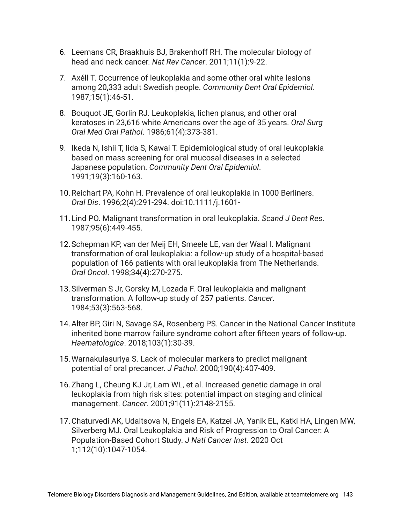- 6. Leemans CR, Braakhuis BJ, Brakenhoff RH. The molecular biology of head and neck cancer. *Nat Rev Cancer*. 2011;11(1):9-22.
- 7. Axéll T. Occurrence of leukoplakia and some other oral white lesions among 20,333 adult Swedish people. *Community Dent Oral Epidemiol*. 1987;15(1):46-51.
- 8. Bouquot JE, Gorlin RJ. Leukoplakia, lichen planus, and other oral keratoses in 23,616 white Americans over the age of 35 years. *Oral Surg Oral Med Oral Pathol*. 1986;61(4):373-381.
- 9. Ikeda N, Ishii T, Iida S, Kawai T. Epidemiological study of oral leukoplakia based on mass screening for oral mucosal diseases in a selected Japanese population. *Community Dent Oral Epidemiol*. 1991;19(3):160-163.
- 10.Reichart PA, Kohn H. Prevalence of oral leukoplakia in 1000 Berliners. *Oral Dis*. 1996;2(4):291-294. doi:10.1111/j.1601-
- 11.Lind PO. Malignant transformation in oral leukoplakia. *Scand J Dent Res*. 1987;95(6):449-455.
- 12.Schepman KP, van der Meij EH, Smeele LE, van der Waal I. Malignant transformation of oral leukoplakia: a follow-up study of a hospital-based population of 166 patients with oral leukoplakia from The Netherlands. *Oral Oncol*. 1998;34(4):270-275.
- 13.Silverman S Jr, Gorsky M, Lozada F. Oral leukoplakia and malignant transformation. A follow-up study of 257 patients. *Cancer*. 1984;53(3):563-568.
- 14.Alter BP, Giri N, Savage SA, Rosenberg PS. Cancer in the National Cancer Institute inherited bone marrow failure syndrome cohort after fifteen years of follow-up. *Haematologica*. 2018;103(1):30-39.
- 15.Warnakulasuriya S. Lack of molecular markers to predict malignant potential of oral precancer. *J Pathol*. 2000;190(4):407-409.
- 16.Zhang L, Cheung KJ Jr, Lam WL, et al. Increased genetic damage in oral leukoplakia from high risk sites: potential impact on staging and clinical management. *Cancer*. 2001;91(11):2148-2155.
- 17.Chaturvedi AK, Udaltsova N, Engels EA, Katzel JA, Yanik EL, Katki HA, Lingen MW, Silverberg MJ. Oral Leukoplakia and Risk of Progression to Oral Cancer: A Population-Based Cohort Study. *J Natl Cancer Inst*. 2020 Oct 1;112(10):1047-1054.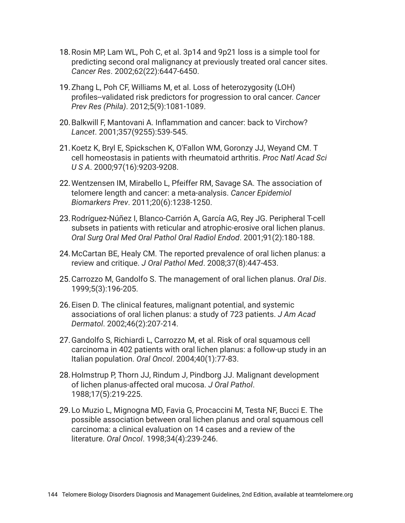- 18.Rosin MP, Lam WL, Poh C, et al. 3p14 and 9p21 loss is a simple tool for predicting second oral malignancy at previously treated oral cancer sites. *Cancer Res*. 2002;62(22):6447-6450.
- 19.Zhang L, Poh CF, Williams M, et al. Loss of heterozygosity (LOH) profiles--validated risk predictors for progression to oral cancer. *Cancer Prev Res (Phila)*. 2012;5(9):1081-1089.
- 20.Balkwill F, Mantovani A. Inflammation and cancer: back to Virchow? *Lancet*. 2001;357(9255):539-545.
- 21.Koetz K, Bryl E, Spickschen K, O'Fallon WM, Goronzy JJ, Weyand CM. T cell homeostasis in patients with rheumatoid arthritis. *Proc Natl Acad Sci U S A*. 2000;97(16):9203-9208.
- 22.Wentzensen IM, Mirabello L, Pfeiffer RM, Savage SA. The association of telomere length and cancer: a meta-analysis. *Cancer Epidemiol Biomarkers Prev*. 2011;20(6):1238-1250.
- 23.Rodríguez-Núñez I, Blanco-Carrión A, García AG, Rey JG. Peripheral T-cell subsets in patients with reticular and atrophic-erosive oral lichen planus. *Oral Surg Oral Med Oral Pathol Oral Radiol Endod*. 2001;91(2):180-188.
- 24.McCartan BE, Healy CM. The reported prevalence of oral lichen planus: a review and critique. *J Oral Pathol Med*. 2008;37(8):447-453.
- 25.Carrozzo M, Gandolfo S. The management of oral lichen planus. *Oral Dis*. 1999;5(3):196-205.
- 26.Eisen D. The clinical features, malignant potential, and systemic associations of oral lichen planus: a study of 723 patients. *J Am Acad Dermatol*. 2002;46(2):207-214.
- 27.Gandolfo S, Richiardi L, Carrozzo M, et al. Risk of oral squamous cell carcinoma in 402 patients with oral lichen planus: a follow-up study in an Italian population. *Oral Oncol*. 2004;40(1):77-83.
- 28.Holmstrup P, Thorn JJ, Rindum J, Pindborg JJ. Malignant development of lichen planus-affected oral mucosa. *J Oral Pathol*. 1988;17(5):219-225.
- 29.Lo Muzio L, Mignogna MD, Favia G, Procaccini M, Testa NF, Bucci E. The possible association between oral lichen planus and oral squamous cell carcinoma: a clinical evaluation on 14 cases and a review of the literature. *Oral Oncol*. 1998;34(4):239-246.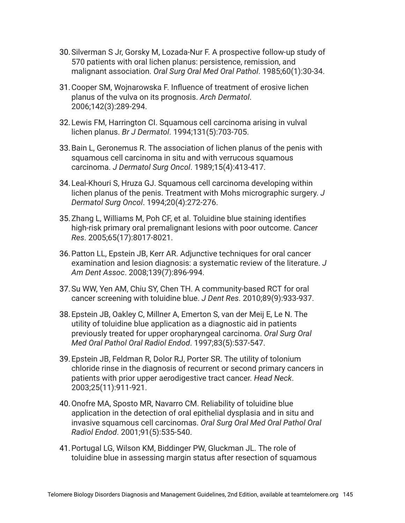- 30.Silverman S Jr, Gorsky M, Lozada-Nur F. A prospective follow-up study of 570 patients with oral lichen planus: persistence, remission, and malignant association. *Oral Surg Oral Med Oral Pathol*. 1985;60(1):30-34.
- 31.Cooper SM, Wojnarowska F. Influence of treatment of erosive lichen planus of the vulva on its prognosis. *Arch Dermatol*. 2006;142(3):289-294.
- 32.Lewis FM, Harrington CI. Squamous cell carcinoma arising in vulval lichen planus. *Br J Dermatol*. 1994;131(5):703-705.
- 33.Bain L, Geronemus R. The association of lichen planus of the penis with squamous cell carcinoma in situ and with verrucous squamous carcinoma. *J Dermatol Surg Oncol*. 1989;15(4):413-417.
- 34.Leal-Khouri S, Hruza GJ. Squamous cell carcinoma developing within lichen planus of the penis. Treatment with Mohs micrographic surgery. *J Dermatol Surg Oncol*. 1994;20(4):272-276.
- 35.Zhang L, Williams M, Poh CF, et al. Toluidine blue staining identifies high-risk primary oral premalignant lesions with poor outcome. *Cancer Res*. 2005;65(17):8017-8021.
- 36.Patton LL, Epstein JB, Kerr AR. Adjunctive techniques for oral cancer examination and lesion diagnosis: a systematic review of the literature. *J Am Dent Assoc*. 2008;139(7):896-994.
- 37.Su WW, Yen AM, Chiu SY, Chen TH. A community-based RCT for oral cancer screening with toluidine blue. *J Dent Res*. 2010;89(9):933-937.
- 38.Epstein JB, Oakley C, Millner A, Emerton S, van der Meij E, Le N. The utility of toluidine blue application as a diagnostic aid in patients previously treated for upper oropharyngeal carcinoma. *Oral Surg Oral Med Oral Pathol Oral Radiol Endod*. 1997;83(5):537-547.
- 39.Epstein JB, Feldman R, Dolor RJ, Porter SR. The utility of tolonium chloride rinse in the diagnosis of recurrent or second primary cancers in patients with prior upper aerodigestive tract cancer. *Head Neck*. 2003;25(11):911-921.
- 40.Onofre MA, Sposto MR, Navarro CM. Reliability of toluidine blue application in the detection of oral epithelial dysplasia and in situ and invasive squamous cell carcinomas. *Oral Surg Oral Med Oral Pathol Oral Radiol Endod*. 2001;91(5):535-540.
- 41.Portugal LG, Wilson KM, Biddinger PW, Gluckman JL. The role of toluidine blue in assessing margin status after resection of squamous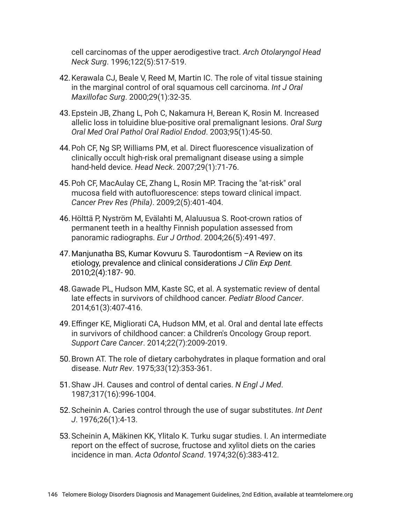cell carcinomas of the upper aerodigestive tract. *Arch Otolaryngol Head Neck Surg*. 1996;122(5):517-519.

- 42.Kerawala CJ, Beale V, Reed M, Martin IC. The role of vital tissue staining in the marginal control of oral squamous cell carcinoma. *Int J Oral Maxillofac Surg*. 2000;29(1):32-35.
- 43.Epstein JB, Zhang L, Poh C, Nakamura H, Berean K, Rosin M. Increased allelic loss in toluidine blue-positive oral premalignant lesions. *Oral Surg Oral Med Oral Pathol Oral Radiol Endod*. 2003;95(1):45-50.
- 44.Poh CF, Ng SP, Williams PM, et al. Direct fluorescence visualization of clinically occult high-risk oral premalignant disease using a simple hand-held device. *Head Neck*. 2007;29(1):71-76.
- 45.Poh CF, MacAulay CE, Zhang L, Rosin MP. Tracing the "at-risk" oral mucosa field with autofluorescence: steps toward clinical impact. *Cancer Prev Res (Phila)*. 2009;2(5):401-404.
- 46.Hölttä P, Nyström M, Evälahti M, Alaluusua S. Root-crown ratios of permanent teeth in a healthy Finnish population assessed from panoramic radiographs. *Eur J Orthod*. 2004;26(5):491-497.
- 47.Manjunatha BS, Kumar Kovvuru S. Taurodontism –A Review on its etiology, prevalence and clinical considerations *J Clin Exp Dent.* 2010;2(4):187- 90.
- 48.Gawade PL, Hudson MM, Kaste SC, et al. A systematic review of dental late effects in survivors of childhood cancer. *Pediatr Blood Cancer*. 2014;61(3):407-416.
- 49.Effinger KE, Migliorati CA, Hudson MM, et al. Oral and dental late effects in survivors of childhood cancer: a Children's Oncology Group report. *Support Care Cancer*. 2014;22(7):2009-2019.
- 50.Brown AT. The role of dietary carbohydrates in plaque formation and oral disease. *Nutr Rev*. 1975;33(12):353-361.
- 51.Shaw JH. Causes and control of dental caries. *N Engl J Med*. 1987;317(16):996-1004.
- 52.Scheinin A. Caries control through the use of sugar substitutes. *Int Dent J*. 1976;26(1):4-13.
- 53.Scheinin A, Mäkinen KK, Ylitalo K. Turku sugar studies. I. An intermediate report on the effect of sucrose, fructose and xylitol diets on the caries incidence in man. *Acta Odontol Scand*. 1974;32(6):383-412.